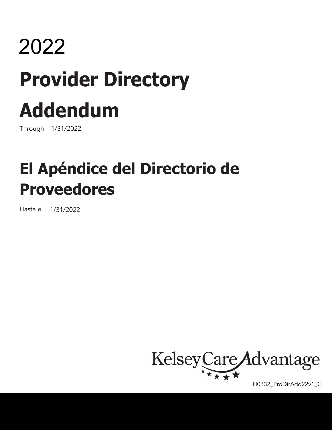# 2022 **Provider Directory Addendum**

Through 1/31/2022

# **El Apéndice del Directorio de Proveedores**

Hasta el 1/31/2022



H0332\_PrdDirAdd22v1\_C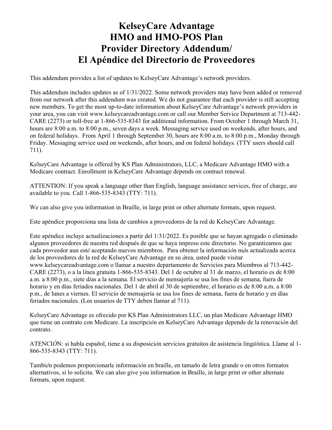## **KelseyCare Advantage HMO and HMO-POS Plan Provider Directory Addendum/ El Apéndice del Directorio de Proveedores**

This addendum provides a list of updates to KelseyCare Advantage's network providers.

This addendum includes updates as of [1/31/2022](http://www.kelseycareadvantage.com). Some network providers may have been added or removed from our network after this addendum was created. We do not guarantee that each provider is still accepting new members. To get the most up-to-date information about KelseyCare Advantage's network providers in your area, you can visit [www.kelseycareadvantage.com](http://www.kelseycareadvantage.com) or call our Member Service Department at 713-442- CARE (2273) or toll-free at 1-866-535-8343 for additional information. From October 1 through March 31, hours are 8:00 a.m. to 8:00 p.m., seven days a week. Messaging service used on weekends, after hours, and on federal holidays. From April 1 through September 30, hours are 8:00 a.m. to 8:00 p.m., Monday through Friday. Messaging service used on weekends, after hours, and on federal holidays. (TTY users should call 711).

KelseyCare Advantage is offered by KS Plan Administrators, LLC, a Medicare Advantage HMO with a Medicare contract. Enrollment in KelseyCare Advantage depends on contract renewal.

ATTENTION: If you speak a language other than English, language assistance services, free of charge, are available to you. Call 1-866-535-8343 (TTY: 711).

We can also give you information in Braille, in large print or other alternate formats, upon request.

Este apéndice proporciona una lista de cambios a proveedores de la red de KelseyCare Advantage.

Este apéndice incluye actualizaciones a partir del [1/31/2022](http://www.kelseycareadvantage.com). Es posible que se hayan agregado o eliminado algunos proveedores de nuestra red después de que se haya impreso este directorio. No garantizamos que cada proveedor aun est*é* aceptando nuevos miembros. Para obtener la informaci*ó*n m*á*s actualizada acerca de los proveedores de la red de KelseyCare Advantage en su *á*rea, usted puede visitar [www.kelseycareadvantage.com](http://www.kelseycareadvantage.com) o llamar a nuestro departamento de Servicios para Miembros al 713-442- CARE (2273), o a la l*í*nea gratuita 1-866-535-8343. Del 1 de octubre al 31 de marzo, el horario es de 8:00 a.m. a 8:00 p.m., siete d*í*as a la semana. El servicio de mensajería se usa los fines de semana, fuera de horario y en días feriados nacionales. Del 1 de abril al 30 de septiembre, el horario es de 8:00 a.m. a 8:00 p.m., de lunes a viernes. El servicio de mensajería se usa los fines de semana, fuera de horario y en días feriados nacionales. (Los usuarios de TTY deben llamar al 711).

KelseyCare Advantage es ofrecido por KS Plan Administrators LLC, un plan Medicare Advantage HMO que tiene un contrato con Medicare. La inscripci*ó*n en KelseyCare Advantage depende de la renovaci*ó*n del contrato.

ATENCI*Ó*N: si habla espa*ñ*ol, tiene a su disposici*ó*n servicios gratuitos de asistencia ling*üí*stica. Llame al 1- 866-535-8343 (TTY: 711).

Tambi*é*n podemos proporcionarle informaci*ó*n en braille, en tama*ñ*o de letra grande o en otros formatos alternativos, si lo solicita. We can also give you information in Braille, in large print or other alternate formats, upon request.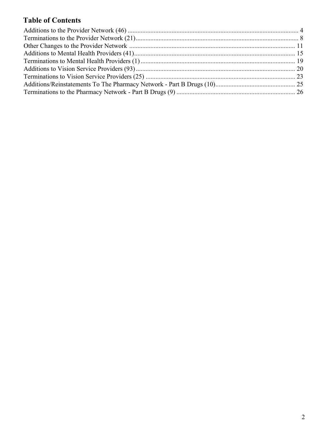## **Table of Contents**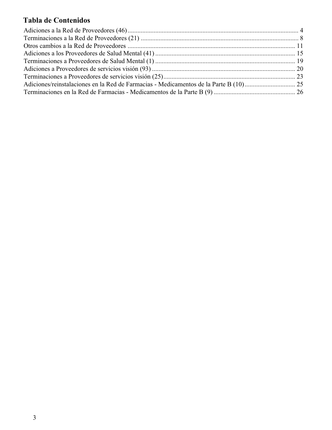## **Tabla de Contenidos**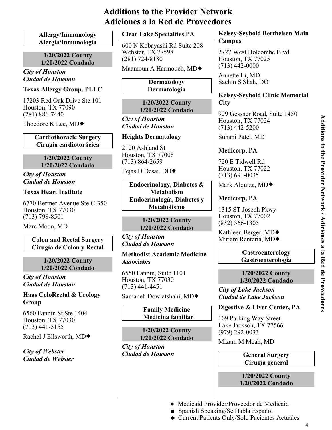**Allergy/Immunology Alergia/Inmunología**

#### **1/20/2022 County 1/20/2022 Condado**

*City of Houston Ciudad de Houston*

#### **Texas Allergy Group. PLLC**

17203 Red Oak Drive Ste 101 Houston, TX 77090 (281) 886-7440

Thoedore K Lee, MD◆

**Cardiothoracic Surgery Cirugía cardiotorácica**

**1/20/2022 County 1/20/2022 Condado**

*City of Houston Ciudad de Houston*

#### **Texas Heart Institute**

6770 Bertner Avenue Ste C-350 Houston, TX 77030 (713) 798-8501

Marc Moon, MD

**Colon and Rectal Surgery Cirugía de Colon y Rectal**

> **1/20/2022 County 1/20/2022 Condado**

#### *City of Houston Ciudad de Houston*

**Haas ColoRectal & Urology Group**

6560 Fannin St Ste 1404 Houston, TX 77030 (713) 441-5155

Rachel J Ellsworth, MD◆

<span id="page-4-0"></span>*City of Webster Ciudad de Webster*

#### **Clear Lake Specialties PA**

600 N Kobayashi Rd Suite 208 Webster, TX 77598 (281) 724-8180

Maamoun A Harmouch, MD◆

**Dermatology Dermatología**

**1/20/2022 County 1/20/2022 Condado**

*City of Houston Ciudad de Houston*

**Heights Dermatology**

2120 Ashland St Houston, TX 77008 (713) 864-2659

Tejas D Desai, DO◆

**Endocrinology, Diabetes & Metabolism Endocrinología, Diabetes y Metabolismo**

> **1/20/2022 County 1/20/2022 Condado**

*City of Houston Ciudad de Houston*

**Methodist Academic Medicine Associates**

6550 Fannin, Suite 1101 Houston, TX 77030 (713) 441-4451

Samaneh Dowlatshahi, MD◆

**Family Medicine Medicina familiar**

**1/20/2022 County 1/20/2022 Condado**

*City of Houston Ciudad de Houston*

#### **Kelsey-Seybold Berthelsen Main Campus**

2727 West Holcombe Blvd Houston, TX 77025 (713) 442-0000

Annette Li, MD Sachin S Shah, DO

#### **Kelsey-Seybold Clinic Memorial City**

929 Gessner Road, Suite 1450 Houston, TX 77024 (713) 442-5200

Suhani Patel, MD

#### **Medicorp, PA**

720 E Tidwell Rd Houston, TX 77022 (713) 691-0035

Mark Alquiza, MD◆

#### **Medicorp, PA**

1315 ST Joseph Pkwy Houston, TX 77002 (832) 366-1305

Kathleen Berger, MD◆ Miriam Renteria, MD◆

#### **Gastroenterology Gastroenterología**

#### **1/20/2022 County 1/20/2022 Condado**

*City of Lake Jackson Ciudad de Lake Jackson*

**Digestive & Liver Center, PA**

109 Parking Way Street Lake Jackson, TX 77566 (979) 292-0033

Mizam M Meah, MD

**General Surgery Cirugía general**

**1/20/2022 County 1/20/2022 Condado**

- Medicaid Provider/Proveedor de Medicaid
	- Spanish Speaking/Se Habla Español
- ◆ Current Patients Only/Solo Pacientes Actuales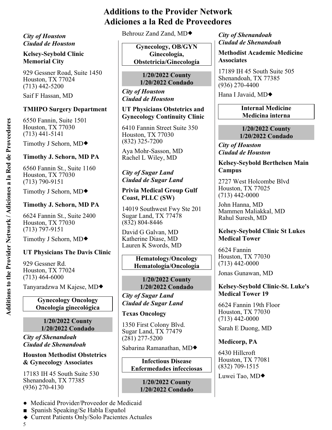## **Additions to the Provider Network Adiciones a la Red de Proveedores**

*City of Houston Ciudad de Houston*

#### **Kelsey-Seybold Clinic Memorial City**

929 Gessner Road, Suite 1450 Houston, TX 77024 (713) 442-5200

Saif F Hassan, MD

#### **TMHPO Surgery Department**

6550 Fannin, Suite 1501 Houston, TX 77030 (713) 441-5141

Timothy J Sehorn, MD◆

#### **Timothy J. Sehorn, MD PA**

6560 Fannin St., Suite 1160 Houston, TX 77030 (713) 790-9151

Timothy J Sehorn, MD◆

#### **Timothy J. Sehorn, MD PA**

6624 Fannin St., Suite 2400 Houston, TX 77030 (713) 797-9151

Timothy J Sehorn, MD◆

#### **UT Physicians The Davis Clinic**

929 Gessner Rd. Houston, TX 77024 (713) 464-6000

Tanyaradzwa M Kajese, MD◆

#### **Gynecology Oncology Oncología ginecológica**

#### **1/20/2022 County 1/20/2022 Condado**

*City of Shenandoah Ciudad de Shenandoah*

#### **Houston Methodist Obstetrics & Gynecology Associates**

17183 IH 45 South Suite 530 Shenandoah, TX 77385 (936) 270-4130

Behrouz Zand Zand, MD◆

**Gynecology, OB/GYN Ginecología, Obstetricia/Ginecología**

> **1/20/2022 County 1/20/2022 Condado**

*City of Houston Ciudad de Houston*

#### **UT Physicians Obstetrics and Gynecology Continuity Clinic**

6410 Fannin Street Suite 350 Houston, TX 77030 (832) 325-7200

Aya Mohr-Sasson, MD Rachel L Wiley, MD

#### *City of Sugar Land Ciudad de Sugar Land*

#### **Privia Medical Group Gulf Coast, PLLC (SW)**

14019 Southwest Fwy Ste 201 Sugar Land, TX 77478 (832) 804-8446

David G Galvan, MD Katherine Diase, MD Lauren K Swords, MD

#### **Hematology/Oncology Hematología/Oncología**

**1/20/2022 County 1/20/2022 Condado**

*City of Sugar Land Ciudad de Sugar Land*

#### **Texas Oncology**

1350 First Colony Blvd. Sugar Land, TX 77479 (281) 277-5200

Sabarina Ramanathan, MD◆

**Infectious Disease Enfermedades infecciosas**

> **1/20/2022 County 1/20/2022 Condado**

#### *City of Shenandoah Ciudad de Shenandoah*

**Methodist Academic Medicine Associates**

17189 IH 45 South Suite 505 Shenandoah, TX 77385 (936) 270-4400

Hana I Javaid, MD◆

#### **Internal Medicine Medicina interna**

#### **1/20/2022 County 1/20/2022 Condado**

*City of Houston Ciudad de Houston*

#### **Kelsey-Seybold Berthelsen Main Campus**

2727 West Holcombe Blvd Houston, TX 77025 (713) 442-0000

John Hanna, MD Mammen Maliakkal, MD Rahul Suresh, MD

#### **Kelsey-Seybold Clinic St Lukes Medical Tower**

6624 Fannin Houston, TX 77030 (713) 442-0000

Jonas Gunawan, MD

#### **Kelsey-Seybold Clinic-St. Luke's Medical Tower 19**

6624 Fannin 19th Floor Houston, TX 77030 (713) 442-0000

Sarah E Duong, MD

#### **Medicorp, PA**

6430 Hillcroft Houston, TX 77081 (832) 709-1515

Luwei Tao, MD◆

- Medicaid Provider/Proveedor de Medicaid
- Spanish Speaking/Se Habla Español
- ◆ Current Patients Only/Solo Pacientes Actuales
- 

5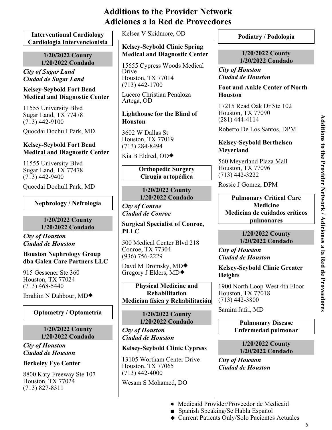## **Additions to the Provider Network Adiciones a la Red de Proveedores**

**Interventional Cardiology Cardiología Intervencionista**

> **1/20/2022 County 1/20/2022 Condado**

*City of Sugar Land Ciudad de Sugar Land*

#### **Kelsey-Seybold Fort Bend Medical and Diagnostic Center**

11555 University Blvd Sugar Land, TX 77478 (713) 442-9100

Quocdai Dochull Park, MD

#### **Kelsey-Seybold Fort Bend Medical and Diagnostic Center**

11555 University Blvd Sugar Land, TX 77478 (713) 442-9400

Quocdai Dochull Park, MD

**Nephrology / Nefrología**

**1/20/2022 County 1/20/2022 Condado**

*City of Houston Ciudad de Houston*

#### **Houston Nephrology Group dba Galen Care Partners LLC**

915 Gessener Ste 360 Houston, TX 77024 (713) 468-5440

Ibrahim N Dahbour, MD◆

#### **Optometry / Optometría**

#### **1/20/2022 County 1/20/2022 Condado**

*City of Houston Ciudad de Houston*

#### **Berkeley Eye Center**

8800 Katy Freeway Ste 107 Houston, TX 77024 (713) 827-8311

Kelsea V Skidmore, OD

#### **Kelsey-Seybold Clinic Spring Medical and Diagnostic Center**

15655 Cypress Woods Medical Drive Houston, TX 77014 (713) 442-1700

Lucero Christian Penaloza Artega, OD

#### **Lighthouse for the Blind of Houston**

3602 W Dallas St Houston, TX 77019 (713) 284-8494

Kia B Eldred, OD◆

**Orthopedic Surgery Cirugía ortopédica**

**1/20/2022 County 1/20/2022 Condado**

*City of Conroe Ciudad de Conroe*

**Surgical Specialist of Conroe, PLLC**

500 Medical Center Blvd 218 Conroe, TX 77304 (936) 756-2229

Davd M Dromsky, MD◆ Gregory J Elders, MD◆

**Physical Medicine and Rehabilitation Medician física y Rehabilitación**

> **1/20/2022 County 1/20/2022 Condado**

*City of Houston Ciudad de Houston*

**Kelsey-Seybold Clinic Cypress**

13105 Wortham Center Drive Houston, TX 77065 (713) 442-4000

Wesam S Mohamed, DO

#### **Podiatry / Podología**

#### **1/20/2022 County 1/20/2022 Condado**

*City of Houston Ciudad de Houston*

**Foot and Ankle Center of North Houston**

17215 Read Oak Dr Ste 102 Houston, TX 77090 (281) 444-4114

Roberto De Los Santos, DPM

#### **Kelsey-Seybold Berthelsen Meyerland**

560 Meyerland Plaza Mall Houston, TX 77096 (713) 442-3222

Rossie J Gomez, DPM

**Pulmonary Critical Care Medicine Medicina de cuidados críticos pulmonares**

#### **1/20/2022 County 1/20/2022 Condado**

*City of Houston Ciudad de Houston*

**Kelsey-Seybold Clinic Greater Heights**

1900 North Loop West 4th Floor Houston,  $TX$   $77018$ (713) 442-3800

Samim Jafri, MD

**Pulmonary Disease Enfermedad pulmonar**

#### **1/20/2022 County 1/20/2022 Condado**

*City of Houston Ciudad de Houston*

- Medicaid Provider/Proveedor de Medicaid
- Spanish Speaking/Se Habla Español
- ◆ Current Patients Only/Solo Pacientes Actuales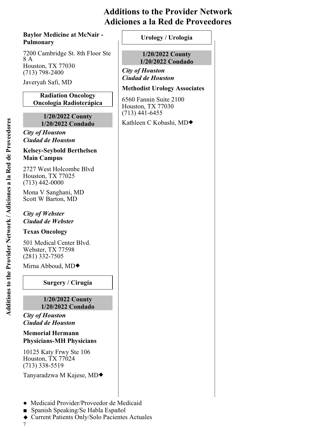## **Additions to the Provider Network Adiciones a la Red de Proveedores**

#### **Baylor Medicine at McNair - Pulmonary**

7200 Cambridge St. 8th Floor Ste 8 A Houston, TX 77030 (713) 798-2400

Javeryah Safi, MD

#### **Radiation Oncology Oncología Radioterápica**

#### **1/20/2022 County 1/20/2022 Condado**

#### *City of Houston Ciudad de Houston*

#### **Kelsey-Seybold Berthelsen Main Campus**

2727 West Holcombe Blvd Houston, TX 77025 (713) 442-0000

Mona V Sanghani, MD Scott W Barton, MD

#### *City of Webster Ciudad de Webster*

#### **Texas Oncology**

501 Medical Center Blvd. Webster, TX 77598 (281) 332-7505

Mirna Abboud, MD◆

**Surgery / Cirugía**

#### **1/20/2022 County 1/20/2022 Condado**

*City of Houston Ciudad de Houston*

#### **Memorial Hermann Physicians-MH Physicians**

10125 Katy Frwy Ste 106 Houston, TX 77024 (713) 338-5519

Tanyaradzwa M Kajese, MD◆

- Medicaid Provider/Proveedor de Medicaid
- Spanish Speaking/Se Habla Español
- ◆ Current Patients Only/Solo Pacientes Actuales
- 7

### **Urology / Urología**

#### **1/20/2022 County 1/20/2022 Condado**

*City of Houston Ciudad de Houston*

#### **Methodist Urology Associates**

6560 Fannin Suite 2100 Houston, TX 77030 (713) 441-6455

Kathleen C Kobashi, MD◆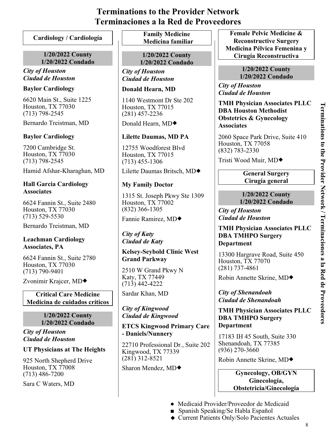## **Terminations to the Provider Network Terminaciones a la Red de Proveedores**

**Cardiology / Cardiología**

#### **1/20/2022 County 1/20/2022 Condado**

*City of Houston Ciudad de Houston*

#### **Baylor Cardiology**

6620 Main St., Suite 1225 Houston, TX 77030 (713) 798-2545

Bernardo Treistman, MD

#### **Baylor Cardiology**

7200 Cambridge St. Houston, TX 77030 (713) 798-2545

Hamid Afshar-Kharaghan, MD

#### **Hall Garcia Cardiology Associates**

6624 Fannin St., Suite 2480 Houston, TX 77030 (713) 529-5530

Bernardo Treistman, MD

#### **Leachman Cardiology Associates, PA**

6624 Fannin St., Suite 2780 Houston, TX 77030 (713) 790-9401

Zvonimir Krajcer, MD◆

**Critical Care Medicine Medicina de cuidados críticos**

#### **1/20/2022 County 1/20/2022 Condado**

*City of Houston Ciudad de Houston*

#### **UT Physicians at The Heights**

925 North Shepherd Drive Houston, TX 77008 (713) 486-7200

<span id="page-8-0"></span>Sara C Waters, MD

#### **Family Medicine Medicina familiar**

**1/20/2022 County 1/20/2022 Condado**

*City of Houston Ciudad de Houston*

#### **Donald Hearn, MD**

1140 Westmont Dr Ste 202 Houston, TX 77015 (281) 457-2236

Donald Hearn, MD◆

#### **Lilette Daumas, MD PA**

12755 Woodforest Blvd Houston, TX 77015 (713) 455-1306

Lilette Daumas Britsch, MD◆

#### **My Family Doctor**

1315 St. Joseph Pkwy Ste 1309 Houston, TX 77002 (832) 366-1305

Fannie Ramirez, MD◆

#### *City of Katy Ciudad de Katy*

#### **Kelsey-Seybold Clinic West Grand Parkway**

2510 W Grand Pkwy N Katy, TX 77449 (713) 442-4222

Sardar Khan, MD

*City of Kingwood Ciudad de Kingwood*

**ETCS Kingwood Primary Care - Daniels/Nunnery**

22710 Professional Dr., Suite 202 Kingwood, TX 77339 (281) 312-8521

Sharon Mendez, MD◆

**Female Pelvic Medicine & Reconstructive Surgery Medicina Pélvica Femenina y Cirugía Reconstructiva**

> **1/20/2022 County 1/20/2022 Condado**

*City of Houston Ciudad de Houston*

**TMH Physician Associates PLLC DBA Houston Methodist Obstetrics & Gynecology Associates**

2060 Space Park Drive, Suite 410 Houston, TX 77058 (832) 783-2330

Tristi Wood Muir, MD◆

#### **General Surgery Cirugía general**

#### **1/20/2022 County 1/20/2022 Condado**

*City of Houston Ciudad de Houston*

#### **TMH Physician Associates PLLC DBA TMHPO Surgery Department**

13300 Hargrave Road, Suite 450 Houston, TX 77070 (281) 737-4861

Robin Annette Skrine, MD◆

*City of Shenandoah Ciudad de Shenandoah*

#### **TMH Physician Associates PLLC DBA TMHPO Surgery Department**

17183 IH 45 South, Suite 330 Shenandoah, TX 77385 (936) 270-3660

Robin Annette Skrine, MD◆

**Gynecology, OB/GYN Ginecología, Obstetricia/Ginecología**

- Medicaid Provider/Proveedor de Medicaid
	- Spanish Speaking/Se Habla Español
- ◆ Current Patients Only/Solo Pacientes Actuales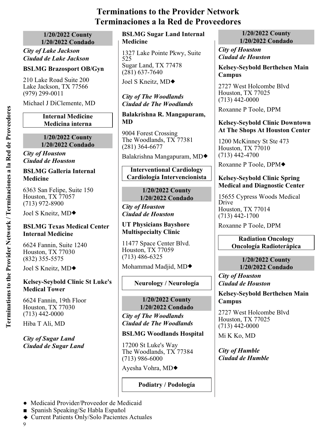## **Terminations to the Provider Network Terminaciones a la Red de Proveedores**

#### **1/20/2022 County 1/20/2022 Condado**

*City of Lake Jackson Ciudad de Lake Jackson*

#### **BSLMG Brazosport OB/Gyn**

210 Lake Road Suite 200 Lake Jackson, TX 77566 (979) 299-0011

Michael J DiClemente, MD

#### **Internal Medicine Medicina interna**

#### **1/20/2022 County 1/20/2022 Condado**

*City of Houston Ciudad de Houston*

#### **BSLMG Galleria Internal Medicine**

6363 San Felipe, Suite 150 Houston, TX 77057 (713) 972-8900

Joel S Kneitz, MD◆

#### **BSLMG Texas Medical Center Internal Medicine**

6624 Fannin, Suite 1240 Houston, TX 77030 (832) 355-5575

Joel S Kneitz, MD◆

#### **Kelsey-Seybold Clinic St Luke's Medical Tower**

6624 Fannin, 19th Floor Houston, TX 77030 (713) 442-0000

Hiba T Ali, MD

#### *City of Sugar Land Ciudad de Sugar Land*

#### **BSLMG Sugar Land Internal Medicine**

1327 Lake Pointe Pkwy, Suite 525

Sugar Land, TX 77478 (281) 637-7640

Joel S Kneitz, MD◆

#### *City of The Woodlands Ciudad de The Woodlands*

**Balakrishna R. Mangapuram, MD**

9004 Forest Crossing The Woodlands, TX 77381 (281) 364-6677

Balakrishna Mangapuram, MD◆

#### **Interventional Cardiology Cardiología Intervencionista**

#### **1/20/2022 County 1/20/2022 Condado**

*City of Houston Ciudad de Houston*

#### **UT Physicians Bayshore Multispecialty Clinic**

11477 Space Center Blvd. Houston, TX 77059 (713) 486-6325

Mohammad Madjid, MD◆

#### **Neurology / Neurología**

#### **1/20/2022 County 1/20/2022 Condado**

*City of The Woodlands Ciudad de The Woodlands*

#### **BSLMG Woodlands Hospital**

17200 St Luke's Way The Woodlands, TX 77384 (713) 986-6000

Ayesha Vohra, MD◆

#### **Podiatry / Podología**

#### **1/20/2022 County 1/20/2022 Condado**

*City of Houston Ciudad de Houston*

**Kelsey-Seybold Berthelsen Main Campus**

2727 West Holcombe Blvd Houston, TX 77025 (713) 442-0000

Roxanne P Toole, DPM

#### **Kelsey-Seybold Clinic Downtown At The Shops At Houston Center**

1200 McKinney St Ste 473 Houston, TX 77010 (713) 442-4700

Roxanne P Toole, DPM◆

#### **Kelsey-Seybold Clinic Spring Medical and Diagnostic Center**

15655 Cypress Woods Medical Drive Houston, TX 77014 (713) 442-1700

Roxanne P Toole, DPM

#### **Radiation Oncology Oncología Radioterápica**

#### **1/20/2022 County 1/20/2022 Condado**

*City of Houston Ciudad de Houston*

#### **Kelsey-Seybold Berthelsen Main Campus**

2727 West Holcombe Blvd Houston, TX 77025 (713) 442-0000

Mi K Ko, MD

*City of Humble Ciudad de Humble*

● Medicaid Provider/Proveedor de Medicaid

◆ Current Patients Only/Solo Pacientes Actuales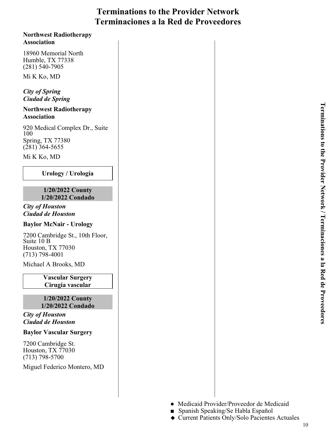## **Terminations to the Provider Network Terminaciones a la Red de Proveedores**

#### **Northwest Radiotherapy Association**

18960 Memorial North Humble, TX 77338 (281) 540-7905 Mi K Ko, MD

*City of Spring Ciudad de Spring*

#### **Northwest Radiotherapy Association**

920 Medical Complex Dr., Suite 100 Spring, TX 77380 (281) 364-5655

Mi K Ko, MD

**Urology / Urología**

**1/20/2022 County 1/20/2022 Condado**

*City of Houston Ciudad de Houston*

**Baylor McNair - Urology**

7200 Cambridge St., 10th Floor, Suite 10 B Houston, TX 77030 (713) 798-4001

Michael A Brooks, MD

**Vascular Surgery Cirugía vascular**

#### **1/20/2022 County 1/20/2022 Condado**

*City of Houston Ciudad de Houston*

#### **Baylor Vascular Surgery**

7200 Cambridge St. Houston, TX 77030 (713) 798-5700

Miguel Federico Montero, MD

Terminations to the Provider Network / Terminaciones a la Red de Proveedores **Terminations to the Provider Network / Terminaciones a la Red de Proveedores**

- Medicaid Provider/Proveedor de Medicaid
- Spanish Speaking/Se Habla Español
- ◆ Current Patients Only/Solo Pacientes Actuales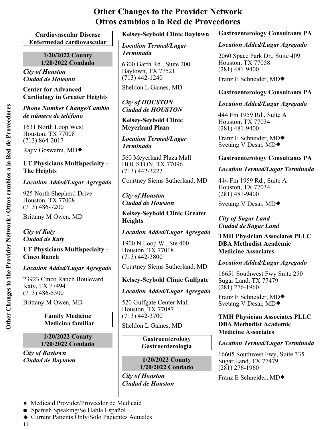#### **Cardiovascular Disease Enfermedad cardiovascular**

#### **1/20/2022 County 1/20/2022 Condado**

*City of Houston Ciudad de Houston*

**Center for Advanced Cardiology in Greater Heights**

#### *Phone Number Change/Cambio de número de teléfono*

1631 North Loop West Houston, TX 77008 (713) 864-2017

Rajiv Goswami, MD◆

#### **UT Physicians Multispecialty - The Heights**

#### *Location Added/Lugar Agregado*

925 North Shepherd Drive Houston, TX 77008 (713) 486-7200

Brittany M Owen, MD

### *City of Katy Ciudad de Katy*

#### **UT Physicians Multispecialty - Cinco Ranch**

#### *Location Added/Lugar Agregado*

23923 Cinco Ranch Boulevard Katy, TX 77494 (713) 486-5300

Brittany M Owen, MD

**Family Medicine Medicina familiar**

#### **1/20/2022 County 1/20/2022 Condado**

*City of Baytown Ciudad de Baytown*

### **Kelsey-Seybold Clinic Baytown**

*Location Termed/Lugar* 

6300 Garth Rd., Suite 200 Baytown, TX 77521 (713) 442-1240

Sheldon L Gaines, MD

*Location Termed/Lugar* 

560 Meyerland Plaza Mall HOUSTON, TX 77096

Courtney Siems Sutherland, MD

**Kelsey-Seybold Clinic Greater** 

*Location Added/Lugar Agregado*

Courtney Siems Sutherland, MD

**Kelsey-Seybold Clinic Gulfgate**

*Location Added/Lugar Agregado*

**Gastroenterology Gastroenterología**

**1/20/2022 County 1/20/2022 Condado**

1900 N Loop W., Ste 400 Houston, TX 77018 (713) 442-3800

520 Gulfgate Center Mall Houston, TX 77087 (713) 442-3700

Sheldon L Gaines, MD

*City of Houston Ciudad de Houston*

*Terminada*

(713) 442-3222

*City of Houston Ciudad de Houston*

**Heights**

*City of HOUSTON Ciudad de HOUSTON* **Kelsey-Seybold Clinic Meyerland Plaza**

*Terminada*

## **Gastroenterology Consultants PA**

#### *Location Added/Lugar Agregado*

2060 Space Park Dr., Suite 409 Houston, TX 77058 (281) 481-9400

Franz E Schneider, MD◆

#### **Gastroenterology Consultants PA**

#### *Location Added/Lugar Agregado*

444 Fm 1959 Rd., Suite A Houston, TX 77034 (281) 481-9400

Franz E Schneider, MD◆ Svetang V Desai, MD◆

#### **Gastroenterology Consultants PA**

#### *Location Termed/Lugar Terminada*

444 Fm 1959 Rd., Suite A Houston, TX 77034 (281) 481-9400

Svetang V Desai, MD◆

*City of Sugar Land Ciudad de Sugar Land*

#### **TMH Physician Associates PLLC DBA Methodist Academic Medicine Associates**

#### *Location Added/Lugar Agregado*

16651 Southwest Fwy Suite 250 Sugar Land, TX 77479 (281) 276-1960

Franz E Schneider, MD◆ Svetang V Desai, MD◆

#### **TMH Physician Associates PLLC DBA Methodist Academic Medicine Associates**

#### *Location Termed/Lugar Terminada*

16605 Southwest Fwy, Suite 335 Sugar Land, TX 77479 (281) 276-1960

Franz E Schneider, MD◆

- Medicaid Provider/Proveedor de Medicaid
- Spanish Speaking/Se Habla Español
- ◆ Current Patients Only/Solo Pacientes Actuales

<span id="page-11-0"></span>11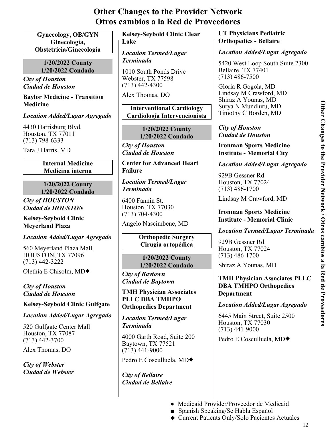**Gynecology, OB/GYN Ginecología, Obstetricia/Ginecología**

**1/20/2022 County 1/20/2022 Condado**

*City of Houston Ciudad de Houston*

**Baylor Medicine - Transition Medicine**

*Location Added/Lugar Agregado*

4430 Harrisburg Blvd. Houston, TX 77011 (713) 798-6333

Tara J Harris, MD

**Internal Medicine Medicina interna**

**1/20/2022 County 1/20/2022 Condado**

*City of HOUSTON Ciudad de HOUSTON*

**Kelsey-Seybold Clinic Meyerland Plaza**

*Location Added/Lugar Agregado*

560 Meyerland Plaza Mall HOUSTON, TX 77096 (713) 442-3222

Olethia E Chisolm, MD◆

*City of Houston Ciudad de Houston*

**Kelsey-Seybold Clinic Gulfgate**

*Location Added/Lugar Agregado*

520 Gulfgate Center Mall Houston, TX 77087 (713) 442-3700

Alex Thomas, DO

*City of Webster Ciudad de Webster*

**Kelsey-Seybold Clinic Clear Lake**

*Location Termed/Lugar Terminada*

1010 South Ponds Drive Webster, TX 77598 (713) 442-4300

Alex Thomas, DO

**Interventional Cardiology Cardiología Intervencionista**

> **1/20/2022 County 1/20/2022 Condado**

*City of Houston Ciudad de Houston*

**Center for Advanced Heart Failure**

*Location Termed/Lugar Terminada*

6400 Fannin St. Houston, TX 77030 (713) 704-4300

Angelo Nascimbene, MD

**Orthopedic Surgery Cirugía ortopédica**

**1/20/2022 County 1/20/2022 Condado**

*City of Baytown Ciudad de Baytown*

**TMH Physician Associates PLLC DBA TMHPO Orthopedics Department**

*Location Termed/Lugar Terminada*

4000 Garth Road, Suite 200 Baytown, TX 77521 (713) 441-9000

Pedro E Cosculluela, MD◆

*City of Bellaire Ciudad de Bellaire*

#### **UT Physicians Pediatric Orthopedics - Bellaire**

#### *Location Added/Lugar Agregado*

5420 West Loop South Suite 2300 Bellaire, TX 77401 (713) 486-7500

Gloria R Gogola, MD Lindsay M Crawford, MD Shiraz A Younas, MD Surya N Mundluru, MD Timothy C Borden, MD

*City of Houston Ciudad de Houston*

**Ironman Sports Medicine Institute - Memorial City**

*Location Added/Lugar Agregado*

929B Gessner Rd. Houston, TX 77024 (713) 486-1700

Lindsay M Crawford, MD

#### **Ironman Sports Medicine Institute - Memorial Clinic**

#### *Location Termed/Lugar Terminada*

929B Gessner Rd. Houston, TX 77024 (713) 486-1700

Shiraz A Younas, MD

#### **TMH Physician Associates PLLC DBA TMHPO Orthopedics Department**

#### *Location Added/Lugar Agregado*

6445 Main Street, Suite 2500 Houston, TX 77030 (713) 441-9000

Pedro E Cosculluela, MD◆

- Medicaid Provider/Proveedor de Medicaid
- Spanish Speaking/Se Habla Español
- ◆ Current Patients Only/Solo Pacientes Actuales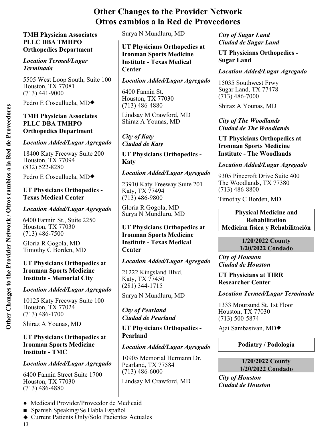#### **TMH Physician Associates PLLC DBA TMHPO Orthopedics Department**

#### *Location Termed/Lugar Terminada*

5505 West Loop South, Suite 100 Houston, TX 77081 (713) 441-9000

Pedro E Cosculluela, MD◆

#### **TMH Physician Associates PLLC DBA TMHPO Orthopedics Department**

#### *Location Added/Lugar Agregado*

18400 Katy Freeway Suite 200 Houston, TX 77094 (832) 522-8280

Pedro E Cosculluela, MD◆

#### **UT Physicians Orthopedics - Texas Medical Center**

#### *Location Added/Lugar Agregado*

6400 Fannin St., Suite 2250 Houston, TX 77030 (713) 486-7500

Gloria R Gogola, MD Timothy C Borden, MD

#### **UT Physicians Orthopedics at Ironman Sports Medicine Institute - Memorial City**

#### *Location Added/Lugar Agregado*

10125 Katy Freeway Suite 100 Houston, TX 77024 (713) 486-1700

Shiraz A Younas, MD

#### **UT Physicians Orthopedics at Ironman Sports Medicine Institute - TMC**

#### *Location Added/Lugar Agregado*

6400 Fannin Street Suite 1700 Houston, TX 77030 (713) 486-4880

● Medicaid Provider/Proveedor de Medicaid

- Spanish Speaking/Se Habla Español
- ◆ Current Patients Only/Solo Pacientes Actuales 13

Surya N Mundluru, MD

**UT Physicians Orthopedics at Ironman Sports Medicine Institute - Texas Medical Center**

#### *Location Added/Lugar Agregado*

6400 Fannin St. Houston, TX 77030 (713) 486-4880

Lindsay M Crawford, MD Shiraz A Younas, MD

*City of Katy Ciudad de Katy*

**UT Physicians Orthopedics - Katy**

#### *Location Added/Lugar Agregado*

23910 Katy Freeway Suite 201 Katy, TX 77494 (713) 486-9800

Gloria R Gogola, MD Surya N Mundluru, MD

#### **UT Physicians Orthopedics at Ironman Sports Medicine Institute - Texas Medical Center**

#### *Location Added/Lugar Agregado*

21222 Kingsland Blvd. Katy, TX 77450 (281) 344-1715

Surya N Mundluru, MD

*City of Pearland Ciudad de Pearland*

**UT Physicians Orthopedics - Pearland**

#### *Location Added/Lugar Agregado*

10905 Memorial Hermann Dr. Pearland, TX 77584 (713) 486-6000 Lindsay M Crawford, MD

*City of Sugar Land Ciudad de Sugar Land*

**UT Physicians Orthopedics - Sugar Land**

#### *Location Added/Lugar Agregado*

15035 Southwest Frwy Sugar Land, TX 77478 (713) 486-7000

Shiraz A Younas, MD

*City of The Woodlands Ciudad de The Woodlands*

**UT Physicians Orthopedics at Ironman Sports Medicine Institute - The Woodlands**

#### *Location Added/Lugar Agregado*

9305 Pinecroft Drive Suite 400 The Woodlands, TX 77380 (713) 486-8800

Timothy C Borden, MD

**Physical Medicine and Rehabilitation Medician física y Rehabilitación**

#### **1/20/2022 County 1/20/2022 Condado**

*City of Houston Ciudad de Houston*

**UT Physicians at TIRR Researcher Center**

#### *Location Termed/Lugar Terminada*

1333 Moursund St. 1st Floor Houston, TX 77030 (713) 500-5874

Ajai Sambasivan, MD◆

#### **Podiatry / Podología**

#### **1/20/2022 County 1/20/2022 Condado**

*City of Houston Ciudad de Houston*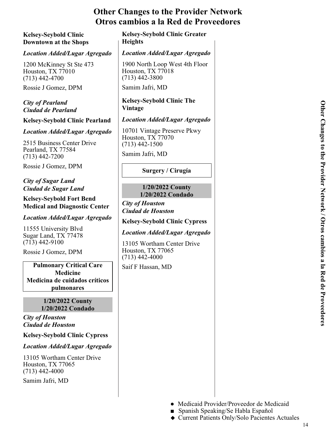#### **Kelsey-Seybold Clinic Downtown at the Shops**

#### *Location Added/Lugar Agregado*

1200 McKinney St Ste 473 Houston, TX 77010 (713) 442-4700

Rossie J Gomez, DPM

#### *City of Pearland Ciudad de Pearland*

#### **Kelsey-Seybold Clinic Pearland**

#### *Location Added/Lugar Agregado*

2515 Business Center Drive Pearland, TX 77584 (713) 442-7200

Rossie J Gomez, DPM

#### *City of Sugar Land Ciudad de Sugar Land*

#### **Kelsey-Seybold Fort Bend Medical and Diagnostic Center**

#### *Location Added/Lugar Agregado*

11555 University Blvd Sugar Land, TX 77478 (713) 442-9100

Rossie J Gomez, DPM

**Pulmonary Critical Care Medicine Medicina de cuidados críticos pulmonares**

> **1/20/2022 County 1/20/2022 Condado**

*City of Houston Ciudad de Houston*

#### **Kelsey-Seybold Clinic Cypress**

#### *Location Added/Lugar Agregado*

13105 Wortham Center Drive Houston, TX 77065 (713) 442-4000

Samim Jafri, MD

#### **Kelsey-Seybold Clinic Greater Heights**

#### *Location Added/Lugar Agregado*

1900 North Loop West 4th Floor Houston, TX 77018 (713) 442-3800

Samim Jafri, MD

#### **Kelsey-Seybold Clinic The Vintage**

#### *Location Added/Lugar Agregado*

10701 Vintage Preserve Pkwy Houston, TX 77070 (713) 442-1500 Samim Jafri, MD

#### **Surgery / Cirugía**

#### **1/20/2022 County 1/20/2022 Condado**

*City of Houston Ciudad de Houston*

**Kelsey-Seybold Clinic Cypress**

#### *Location Added/Lugar Agregado*

13105 Wortham Center Drive Houston, TX 77065 (713) 442-4000

Saif F Hassan, MD

- Medicaid Provider/Proveedor de Medicaid
- Spanish Speaking/Se Habla Español
- ◆ Current Patients Only/Solo Pacientes Actuales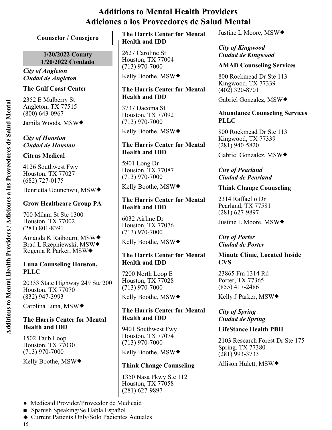#### **Counselor / Consejero**

#### **1/20/2022 County 1/20/2022 Condado**

*City of Angleton Ciudad de Angleton*

#### **The Gulf Coast Center**

2352 E Mulberry St Angleton, TX 77515 (800) 643-0967

Jamila Woods, MSW◆

#### *City of Houston Ciudad de Houston*

#### **Citrus Medical**

4126 Southwest Fwy Houston, TX 77027 (682) 727-0175

Henrietta Udunenwu, MSW◆

#### **Grow Healthcare Group PA**

700 Milam St Ste 1300 Houston, TX 77002 (281) 801-8391

Amanda K Raibourn, MSW◆ Brad L Rzepniewski, MSW◆ Rogenia R Parker, MSW◆

#### **Luna Counseling Houston, PLLC**

20333 State Highway 249 Ste 200 Houston, TX 77070 (832) 947-3993

Carolina Luna, MSW◆

#### **The Harris Center for Mental Health and IDD**

1502 Taub Loop Houston, TX 77030 (713) 970-7000

Kelly Boothe, MSW◆

<span id="page-15-0"></span>15

#### **The Harris Center for Mental Health and IDD**

2627 Caroline St Houston, TX 77004 (713) 970-7000 Kelly Boothe, MSW◆

#### **The Harris Center for Mental Health and IDD**

3737 Dacoma St Houston, TX 77092 (713) 970-7000

Kelly Boothe, MSW◆

#### **The Harris Center for Mental Health and IDD**

5901 Long Dr Houston, TX 77087 (713) 970-7000

Kelly Boothe, MSW◆

#### **The Harris Center for Mental Health and IDD**

6032 Airline Dr Houston, TX 77076 (713) 970-7000

Kelly Boothe, MSW◆

#### **The Harris Center for Mental Health and IDD**

7200 North Loop E Houston, TX 77028 (713) 970-7000

Kelly Boothe, MSW◆

#### **The Harris Center for Mental Health and IDD**

9401 Southwest Fwy Houston, TX 77074 (713) 970-7000

Kelly Boothe, MSW◆

#### **Think Change Counseling**

1350 Nasa Pkwy Ste 112 Houston, TX 77058 (281) 627-9897

- Medicaid Provider/Proveedor de Medicaid
- Spanish Speaking/Se Habla Español
- ◆ Current Patients Only/Solo Pacientes Actuales

Justine L Moore, MSW◆

*City of Kingwood Ciudad de Kingwood*

#### **AMAD Counseling Services**

800 Rockmead Dr Ste 113 Kingwood, TX 77339 (402) 320-8701

Gabriel Gonzalez, MSW◆

#### **Abundance Counseling Services PLLC**

800 Rockmead Dr Ste 113 Kingwood, TX 77339 (281) 940-5820

Gabriel Gonzalez, MSW◆

#### *City of Pearland Ciudad de Pearland*

#### **Think Change Counseling**

2314 Raffaello Dr Pearland, TX 77581 (281) 627-9897

Justine L Moore, MSW◆

*City of Porter Ciudad de Porter*

#### **Minute Clinic, Located Inside CVS**

23865 Fm 1314 Rd Porter, TX 77365 (855) 417-2486

Kelly J Parker, MSW◆

#### *City of Spring Ciudad de Spring*

#### **LifeStance Health PBH**

2103 Research Forest Dr Ste 175 Spring, TX 77380 (281) 993-3733

Allison Hulett, MSW◆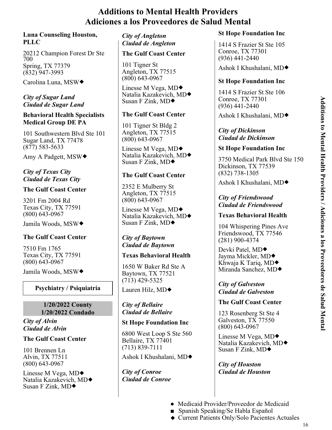#### **Luna Counseling Houston, PLLC**

20212 Champion Forest Dr Ste 700 Spring, TX 77379 (832) 947-3993

Carolina Luna, MSW◆

#### *City of Sugar Land Ciudad de Sugar Land*

#### **Behavioral Health Specialists Medical Group DE PA**

101 Southwestern Blvd Ste 101 Sugar Land, TX 77478 (877) 583-5633

Amy A Padgett, MSW◆

#### *City of Texas City Ciudad de Texas City*

#### **The Gulf Coast Center**

3201 Fm 2004 Rd Texas City, TX 77591 (800) 643-0967

Jamila Woods, MSW◆

#### **The Gulf Coast Center**

7510 Fm 1765 Texas City, TX 77591 (800) 643-0967

Jamila Woods, MSW◆

#### **Psychiatry / Psiquiatría**

#### **1/20/2022 County 1/20/2022 Condado**

*City of Alvin Ciudad de Alvin*

#### **The Gulf Coast Center**

101 Brennen Ln Alvin, TX 77511 (800) 643-0967

Linesse M Vega, MD◆ Natalia Kazakevich, MD◆ Susan F Zink, MD◆

#### *City of Angleton Ciudad de Angleton*

#### **The Gulf Coast Center**

101 Tigner St Angleton, TX 77515 (800) 643-0967

Linesse M Vega, MD◆ Natalia Kazakevich, MD◆ Susan F Zink, MD◆

#### **The Gulf Coast Center**

101 Tigner St Bldg 2 Angleton, TX 77515 (800) 643-0967

Linesse M Vega, MD◆ Natalia Kazakevich, MD◆ Susan F Zink, MD◆

#### **The Gulf Coast Center**

2352 E Mulberry St Angleton, TX 77515 (800) 643-0967

Linesse M Vega, MD◆ Natalia Kazakevich, MD◆ Susan F Zink, MD◆

#### *City of Baytown Ciudad de Baytown*

#### **Texas Behavioral Health**

1650 W Baker Rd Ste A Baytown, TX 77521 (713) 429-5325

Lauren Hilz, MD◆

#### *City of Bellaire Ciudad de Bellaire*

#### **St Hope Foundation Inc**

6800 West Loop S Ste 560 Bellaire, TX 77401 (713) 839-7111

Ashok I Khushalani, MD◆

*City of Conroe Ciudad de Conroe*

#### **St Hope Foundation Inc**

1414 S Frazier St Ste 105 Conroe, TX 77301 (936) 441-2440

Ashok I Khushalani, MD◆

#### **St Hope Foundation Inc**

1414 S Frazier St Ste 106 Conroe, TX 77301 (936) 441-2440

Ashok I Khushalani, MD◆

#### *City of Dickinson Ciudad de Dickinson*

#### **St Hope Foundation Inc**

3750 Medical Park Blvd Ste 150 Dickinson, TX 77539 (832) 738-1305

Ashok I Khushalani, MD◆

#### *City of Friendswood Ciudad de Friendswood*

#### **Texas Behavioral Health**

104 Whispering Pines Ave Friendswood, TX 77546 (281) 900-4374

Devki Patel, MD◆ Jayma Mickler, MD◆ Khwaja K Tariq, MD◆ Miranda Sanchez, MD◆

#### *City of Galveston Ciudad de Galveston*

#### **The Gulf Coast Center**

123 Rosenberg St Ste 4 Galveston, TX 77550 (800) 643-0967

Linesse M Vega, MD◆ Natalia Kazakevich, MD◆ Susan F Zink, MD◆

*City of Houston Ciudad de Houston*

- Medicaid Provider/Proveedor de Medicaid
- Spanish Speaking/Se Habla Español
- ◆ Current Patients Only/Solo Pacientes Actuales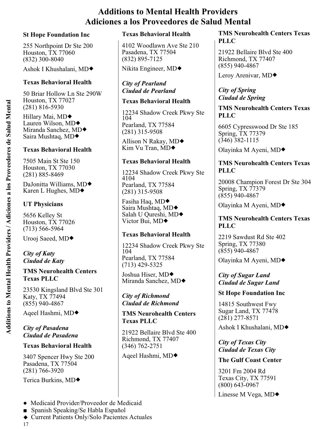#### **St Hope Foundation Inc**

255 Northpoint Dr Ste 200 Houston, TX 77060 (832) 300-8040

Ashok I Khushalani, MD◆

#### **Texas Behavioral Health**

50 Briar Hollow Ln Ste 290W Houston, TX 77027 (281) 816-5930

Hillary Mai, MD◆ Lauren Wilson, MD◆ Miranda Sanchez, MD◆ Saira Mushtaq, MD◆

#### **Texas Behavioral Health**

7505 Main St Ste 150 Houston, TX 77030 (281) 885-8469

DaJonitta Williams, MD◆ Karen L Hughes, MD◆

#### **UT Physicians**

5656 Kelley St Houston, TX 77026 (713) 566-5964

Urooj Saeed, MD◆

#### *City of Katy Ciudad de Katy*

#### **TMS Neurohealth Centers Texas PLLC**

23530 Kingsland Blvd Ste 301 Katy, TX 77494 (855) 940-4867

Aqeel Hashmi, MD◆

#### *City of Pasadena Ciudad de Pasadena*

#### **Texas Behavioral Health**

3407 Spencer Hwy Ste 200 Pasadena, TX 77504 (281) 766-3920

Terica Burkins, MD◆

#### **Texas Behavioral Health**

4102 Woodlawn Ave Ste 210 Pasadena, TX 77504 (832) 895-7125

Nikita Engineer, MD◆

*City of Pearland Ciudad de Pearland*

#### **Texas Behavioral Health**

12234 Shadow Creek Pkwy Ste 104 Pearland, TX 77584 (281) 315-9508

Allison N Rakay, MD◆ Kim Vu Tran, MD◆

#### **Texas Behavioral Health**

12234 Shadow Creek Pkwy Ste 4104 Pearland, TX 77584 (281) 315-9508

Fasiha Haq, MD◆ Saira Mushtaq, MD◆ Salah U Qureshi, MD◆ Victor Bui, MD◆

#### **Texas Behavioral Health**

12234 Shadow Creek Pkwy Ste 104 Pearland, TX 77584 (713) 429-5325

Joshua Hiser, MD◆ Miranda Sanchez, MD◆

#### *City of Richmond Ciudad de Richmond*

**TMS Neurohealth Centers Texas PLLC**

21922 Bellaire Blvd Ste 400 Richmond, TX 77407 (346) 762-2751

Aqeel Hashmi, MD◆

#### **TMS Neurohealth Centers Texas PLLC**

21922 Bellaire Blvd Ste 400 Richmond, TX 77407 (855) 940-4867

Leroy Arenivar, MD◆

*City of Spring Ciudad de Spring*

#### **TMS Neurohealth Centers Texas PLLC**

6605 Cypresswood Dr Ste 185 Spring, TX 77379 (346) 382-1115

Olayinka M Ayeni, MD◆

#### **TMS Neurohealth Centers Texas PLLC**

20008 Champion Forest Dr Ste 304 Spring, TX 77379 (855) 940-4867

Olayinka M Ayeni, MD◆

#### **TMS Neurohealth Centers Texas PLLC**

2219 Sawdust Rd Ste 402 Spring, TX 77380 (855) 940-4867

Olayinka M Ayeni, MD◆

#### *City of Sugar Land Ciudad de Sugar Land*

#### **St Hope Foundation Inc**

14815 Southwest Fwy Sugar Land, TX 77478 (281) 277-8571

Ashok I Khushalani, MD◆

*City of Texas City Ciudad de Texas City*

#### **The Gulf Coast Center**

3201 Fm 2004 Rd Texas City, TX 77591 (800) 643-0967

Linesse M Vega, MD◆

- Medicaid Provider/Proveedor de Medicaid
	- Spanish Speaking/Se Habla Español
	- ◆ Current Patients Only/Solo Pacientes Actuales 17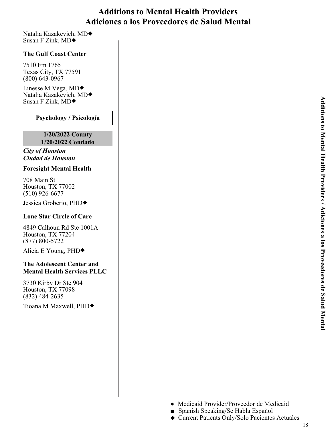Natalia Kazakevich, MD◆ Susan F Zink, MD◆

#### **The Gulf Coast Center**

7510 Fm 1765 Texas City, TX 77591 (800) 643-0967

Linesse M Vega, MD◆ Natalia Kazakevich, MD◆ Susan F Zink, MD◆

**Psychology / Psicología**

**1/20/2022 County 1/20/2022 Condado**

*City of Houston Ciudad de Houston*

#### **Foresight Mental Health**

708 Main St Houston, TX 77002 (510) 926-6677

Jessica Groberio, PHD◆

#### **Lone Star Circle of Care**

4849 Calhoun Rd Ste 1001A Houston, TX 77204 (877) 800-5722

Alicia E Young, PHD◆

#### **The Adolescent Center and Mental Health Services PLLC**

3730 Kirby Dr Ste 904 Houston, TX 77098 (832) 484-2635

Tioana M Maxwell, PHD◆

Additions to Mental Health Providers / Adiciones a los Proveedores de Salud Mental **Additions to Mental Health Providers / Adiciones a los Proveedores de Salud Mental**

- Medicaid Provider/Proveedor de Medicaid
- Spanish Speaking/Se Habla Español
- ◆ Current Patients Only/Solo Pacientes Actuales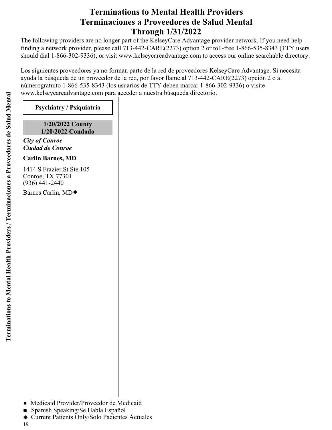## **Terminations to Mental Health Providers Terminaciones a Proveedores de Salud Mental Through 1/31/2022**

The following providers are no longer part of the KelseyCare Advantage provider network. If you need help finding a network provider, please call 713-442-CARE(2273) option 2 or toll-free 1-866-535-8343 (TTY users should dial 1-866-302-9336), or visit [www.kelseycareadvantage.com](http://www.kelseycareadvantage.com) to access our online searchable directory.

Los siguientes proveedores ya no forman parte de la red de proveedores KelseyCare Advantage. Si necesita ayuda la búsqueda de un proveedor de la red, por favor llame al 713-442-CARE(2273) opción 2 o al númerogratuito 1-866-535-8343 (los usuarios de TTY deben marcar 1-866-302-9336) o visite [www.kelseycareadvantage.com](http://www.kelseycareadvantage.com) para acceder a nuestra búsqueda directorio.

**Psychiatry / Psiquiatría**

**1/20/2022 County 1/20/2022 Condado**

*City of Conroe Ciudad de Conroe*

**Carlin Barnes, MD**

1414 S Frazier St Ste 105 Conroe, TX 77301 (936) 441-2440

Barnes Carlin, MD◆

- Medicaid Provider/Proveedor de Medicaid
- Spanish Speaking/Se Habla Español
- ◆ Current Patients Only/Solo Pacientes Actuales
- <span id="page-19-0"></span>19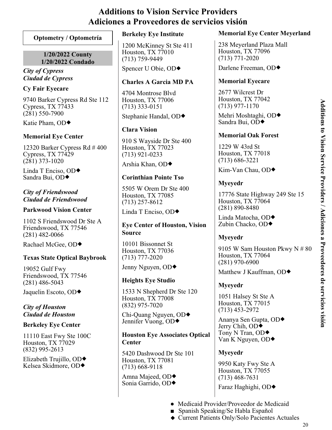## **Additions to Vision Service Providers Adiciones a Proveedores de servicios visión**

#### **Optometry / Optometría**

#### **1/20/2022 County 1/20/2022 Condado**

#### *City of Cypress Ciudad de Cypress*

#### **Cy Fair Eyecare**

9740 Barker Cypress Rd Ste 112 Cypress, TX 77433 (281) 550-7900

Katie Pham, OD◆

#### **Memorial Eye Center**

12320 Barker Cypress Rd # 400 Cypress, TX 77429 (281) 373-1020

Linda T Enciso, OD◆ Sandra Bui, OD◆

#### *City of Friendswood Ciudad de Friendswood*

#### **Parkwood Vision Center**

1102 S Friendswood Dr Ste A Friendswood, TX 77546 (281) 482-0066

Rachael McGee, OD◆

#### **Texas State Optical Baybrook**

19052 Gulf Fwy Friendswood, TX 77546 (281) 486-5043

Jaquelin Escoto, OD◆

#### *City of Houston Ciudad de Houston*

#### **Berkeley Eye Center**

11110 East Fwy Ste 100C Houston, TX 77029 (832) 995-2613

<span id="page-20-0"></span>Elizabeth Trujillo, OD◆ Kelsea Skidmore, OD◆

#### **Berkeley Eye Institute**

1200 McKinney St Ste 411 Houston, TX 77010 (713) 759-9449

Spencer U Obie, OD◆

#### **Charles A Garcia MD PA**

4704 Montrose Blvd Houston, TX 77006 (713) 333-0151

Stephanie Handal, OD◆

#### **Clara Vision**

910 S Wayside Dr Ste 400 Houston, TX 77023 (713) 921-0233

Arshia Khan, OD◆

#### **Corinthian Pointe Tso**

5505 W Orem Dr Ste 400 Houston, TX 77085 (713) 257-8612

Linda T Enciso, OD◆

#### **Eye Center of Houston, Vision Source**

10101 Bissonnet St Houston, TX 77036 (713) 777-2020

Jenny Nguyen, OD◆

#### **Heights Eye Studio**

1533 N Shepherd Dr Ste 120 Houston, TX 77008 (832) 975-7020

Chi-Quang Nguyen, OD◆ Jennifer Vuong, OD◆

#### **Houston Eye Associates Optical Center**

5420 Dashwood Dr Ste 101 Houston, TX 77081 (713) 668-9118

Amna Majeed, OD◆ Sonia Garrido, OD◆

#### **Memorial Eye Center Meyerland**

238 Meyerland Plaza Mall Houston, TX 77096 (713) 771-2020

Darlene Freeman, OD◆

#### **Memorial Eyecare**

2677 Wilcrest Dr Houston, TX 77042 (713) 977-1170

Mehri Moshtaghi, OD◆ Sandra Bui, OD◆

#### **Memorial Oak Forest**

1229 W 43rd St Houston, TX 77018 (713) 686-3221

Kim-Van Chau, OD◆

#### **Myeyedr**

17776 State Highway 249 Ste 15 Houston, TX 77064 (281) 890-8480

Linda Matocha, OD◆ Zubin Chacko, OD◆

#### **Myeyedr**

9105 W Sam Houston Pkwy N # 80 Houston, TX 77064 (281) 970-6900

Matthew J Kauffman, OD◆

#### **Myeyedr**

1051 Halsey St Ste A Houston, TX 77015 (713) 453-2972

Ananya Sen Gupta, OD◆ Jerry Chih, OD◆ Tony N Tran, OD◆ Van K Nguyen, OD◆

#### **Myeyedr**

9950 Katy Fwy Ste A Houston, TX 77055 (713) 468-7631

Faraz Haghighi, OD◆

- Medicaid Provider/Proveedor de Medicaid
- Spanish Speaking/Se Habla Español
- ◆ Current Patients Only/Solo Pacientes Actuales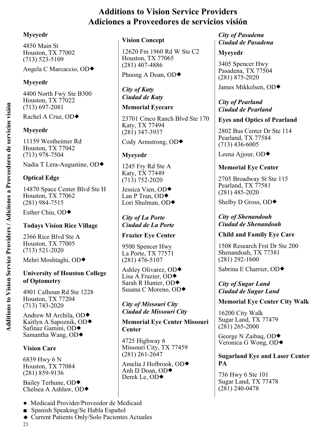## **Additions to Vision Service Providers Adiciones a Proveedores de servicios visión**

#### **Myeyedr**

4850 Main St Houston, TX 77002 (713) 523-5109

Angela C Marcaccio, OD◆

#### **Myeyedr**

4400 North Fwy Ste B300 Houston, TX 77022 (713) 697-2081

Rachel A Cruz, OD◆

#### **Myeyedr**

11159 Westheimer Rd Houston, TX 77042 (713) 978-7504

Nadia T Lera-Augustine, OD◆

#### **Optical Edge**

14870 Space Center Blvd Ste H Houston, TX 77062 (281) 984-7515

Esther Chiu, OD◆

#### **Todays Vision Rice Village**

2366 Rice Blvd Ste A Houston, TX 77005 (713) 521-2020

Mehri Moshtaghi, OD◆

#### **University of Houston College of Optometry**

4901 Calhoun Rd Ste 1228 Houston, TX 77204 (713) 743-2020

Andrew M Archila, OD◆ Kaitlyn A Sapoznik, OD◆ Safinaz Gamini, OD◆ Samantha Wang, OD◆

#### **Vision Care**

6839 Hwy 6 N Houston, TX 77084 (281) 859-9136

Bailey Terhune, OD◆ Chelsea A Ashlaw, OD◆

- Medicaid Provider/Proveedor de Medicaid
- Spanish Speaking/Se Habla Español
- ◆ Current Patients Only/Solo Pacientes Actuales

21

#### **Vision Concept**

12620 Fm 1960 Rd W Ste C2 Houston, TX 77065 (281) 407-4886

Phuong A Doan, OD◆

#### *City of Katy Ciudad de Katy*

#### **Memorial Eyecare**

23701 Cinco Ranch Blvd Ste 170 Katy, TX 77494 (281) 347-3937

Cody Armstrong, OD◆

#### **Myeyedr**

1245 Fry Rd Ste A Katy, TX 77449 (713) 752-2020

Jessica Vien, OD◆ Lan P Tran, OD◆ Lori Shulman, OD◆

*City of La Porte Ciudad de La Porte*

#### **Frazier Eye Center**

9500 Spencer Hwy La Porte, TX 77571 (281) 476-5107

Ashley Olivarez, OD◆ Lisa A Frazier, OD◆ Sarah R Hunter, OD◆ Susana C Moreno, OD◆

#### *City of Missouri City Ciudad de Missouri City*

#### **Memorial Eye Center Missouri Center**

4725 Highway 6 Missouri City, TX 77459 (281) 261-2647

Amelia J Holbrook, OD◆ Anh D Doan, OD◆ Derek Le, OD◆

#### *City of Pasadena Ciudad de Pasadena*

#### **Myeyedr**

3405 Spencer Hwy Pasadena, TX 77504 (281) 875-2020

James Mikkelsen, OD◆

#### *City of Pearland Ciudad de Pearland*

#### **Eyes and Optics of Pearland**

2802 Bus Center Dr Ste 114 Pearland, TX 77584 (713) 436-6005

Leena Ajjour, OD◆

#### **Memorial Eye Center**

2705 Broadway St Ste 115 Pearland, TX 77581 (281) 485-2020

Shelby D Gross, OD◆

*City of Shenandoah Ciudad de Shenandoah*

#### **Child and Family Eye Care**

1508 Research Frst Dr Ste 200 Shenandoah, TX 77381 (281) 292-1600

Sabrina E Charrier, OD◆

#### *City of Sugar Land Ciudad de Sugar Land*

#### **Memorial Eye Center City Walk**

16200 City Walk Sugar Land, TX 77479 (281) 265-2000

George N Zaibaq, OD◆ Veronica G Wong, OD◆

#### **Sugarland Eye and Laser Center PA**

736 Hwy 6 Ste 101 Sugar Land, TX 77478 (281) 240-0478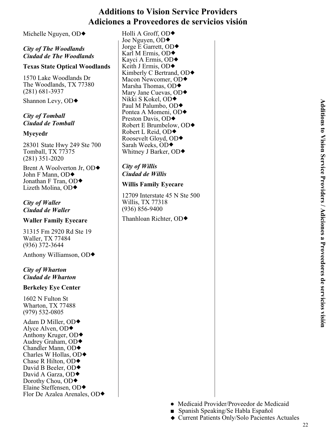## **Additions to Vision Service Providers Adiciones a Proveedores de servicios visión**

Michelle Nguyen, OD◆

*City of The Woodlands Ciudad de The Woodlands*

#### **Texas State Optical Woodlands**

1570 Lake Woodlands Dr The Woodlands, TX 77380 (281) 681-3937

Shannon Levy, OD◆

#### *City of Tomball Ciudad de Tomball*

#### **Myeyedr**

28301 State Hwy 249 Ste 700 Tomball, TX 77375 (281) 351-2020

Brent A Woolverton Jr, OD◆ John F Mann, OD◆ Jonathan F Tran, OD◆ Lizeth Molina, OD◆

#### *City of Waller Ciudad de Waller*

#### **Waller Family Eyecare**

31315 Fm 2920 Rd Ste 19 Waller, TX 77484 (936) 372-3644

Anthony Williamson, OD◆

#### *City of Wharton Ciudad de Wharton*

**Berkeley Eye Center**

1602 N Fulton St Wharton, TX 77488 (979) 532-0805

Adam D Miller, OD◆ Alyce Alven, OD◆ Anthony Kruger, OD◆ Audrey Graham, OD◆ Chandler Mann, OD◆ Charles W Hollas, OD◆ Chase R Hilton, OD◆ David B Beeler, OD◆ David A Garza, OD◆ Dorothy Chou, OD<sup>◆</sup> Elaine Steffensen, OD◆ Flor De Azalea Arenales, OD◆ Holli A Groff, OD◆ Joe Nguyen, OD◆ Jorge E Garrett, OD◆ Karl M Ermis, OD◆ Kayci A Ermis, OD◆ Keith J Ermis, OD◆ Kimberly C Bertrand, OD◆ Macon Newcomer, OD◆ Marsha Thomas, OD◆ Mary Jane Cuevas, OD◆ Nikki S Kokel, OD◆ Paul M Palumbo, OD◆ Pontea A Momeni, OD◆ Preston Davis, OD◆ Robert E Brumbelow, OD◆ Robert L Reid, OD◆ Roosevelt Gloyd, OD◆ Sarah Weeks, OD◆ Whitney J Barker, OD◆

#### *City of Willis Ciudad de Willis*

#### **Willis Family Eyecare**

12709 Interstate 45 N Ste 500 Willis, TX 77318 (936) 856-9400

Thanhloan Richter, OD◆

- Medicaid Provider/Proveedor de Medicaid
	- Spanish Speaking/Se Habla Español
- ◆ Current Patients Only/Solo Pacientes Actuales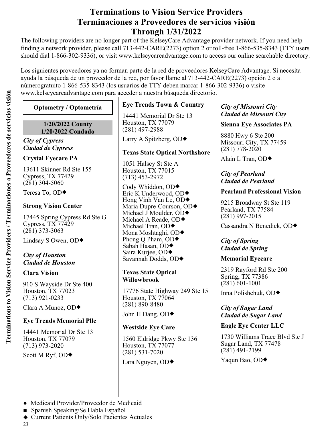## **Terminations to Vision Service Providers Terminaciones a Proveedores de servicios visión Through 1/31/2022**

The following providers are no longer part of the KelseyCare Advantage provider network. If you need help finding a network provider, please call 713-442-CARE(2273) option 2 or toll-free 1-866-535-8343 (TTY users should dial 1-866-302-9336), or visit [www.kelseycareadvantage.com](http://www.kelseycareadvantage.com) to access our online searchable directory.

Los siguientes proveedores ya no forman parte de la red de proveedores KelseyCare Advantage. Si necesita ayuda la búsqueda de un proveedor de la red, por favor llame al 713-442-CARE(2273) opción 2 o al númerogratuito 1-866-535-8343 (los usuarios de TTY deben marcar 1-866-302-9336) o visite [www.kelseycareadvantage.com](http://www.kelseycareadvantage.com) para acceder a nuestra búsqueda directorio.

#### **Optometry / Optometría**

**1/20/2022 County 1/20/2022 Condado**

*City of Cypress Ciudad de Cypress*

#### **Crystal Eyecare PA**

13611 Skinner Rd Ste 155 Cypress, TX 77429 (281) 304-5060

Teresa To, OD◆

#### **Strong Vision Center**

17445 Spring Cypress Rd Ste G Cypress, TX 77429 (281) 373-3063

Lindsay S Owen, OD◆

#### *City of Houston Ciudad de Houston*

#### **Clara Vision**

910 S Wayside Dr Ste 400 Houston, TX 77023 (713) 921-0233

Clara A Munoz, OD◆

#### **Eye Trends Memorial Pllc**

14441 Memorial Dr Ste 13 Houston, TX 77079 (713) 973-2020

Scott M Ryf, OD◆

#### **Eye Trends Town & Country**

14441 Memorial Dr Ste 13 Houston, TX 77079 (281) 497-2988

Larry A Spitzberg, OD◆

#### **Texas State Optical Northshore**

1051 Halsey St Ste A Houston, TX 77015 (713) 453-2972

Cody Whiddon, OD◆ Eric K Underwood, OD◆ Hong Vinh Van Le, OD◆ Maria Dupre-Courson, OD◆ Michael J Moulder, OD◆ Michael A Reade, OD◆ Michael Tran, OD◆ Mona Moshtaghi, OD◆ Phong Q Pham, OD◆ Sabah Hasan, OD◆ Saira Kurjee, OD◆ Savannah Dodds, OD◆

#### **Texas State Optical Willowbrook**

17776 State Highway 249 Ste 15 Houston, TX 77064 (281) 890-8480

John H Dang, OD◆

#### **Westside Eye Care**

1560 Eldridge Pkwy Ste 136 Houston, TX 77077 (281) 531-7020

Lara Nguyen, OD◆

#### *City of Missouri City Ciudad de Missouri City*

#### **Sienna Eye Associates PA**

8880 Hwy 6 Ste 200 Missouri City, TX 77459 (281) 778-2020

Alain L Tran, OD◆

*City of Pearland Ciudad de Pearland*

#### **Pearland Professional Vision**

9215 Broadway St Ste 119 Pearland, TX 77584 (281) 997-2015

Cassandra N Benedick, OD◆

#### *City of Spring Ciudad de Spring*

#### **Memorial Eyecare**

2319 Rayford Rd Ste 200 Spring, TX 77386 (281) 601-1001

Inna Polishchuk, OD◆

#### *City of Sugar Land Ciudad de Sugar Land*

#### **Eagle Eye Center LLC**

1730 Williams Trace Blvd Ste J Sugar Land, TX 77478 (281) 491-2199

Yaqun Bao, OD◆

- Medicaid Provider/Proveedor de Medicaid
- Spanish Speaking/Se Habla Español
- <span id="page-23-0"></span>◆ Current Patients Only/Solo Pacientes Actuales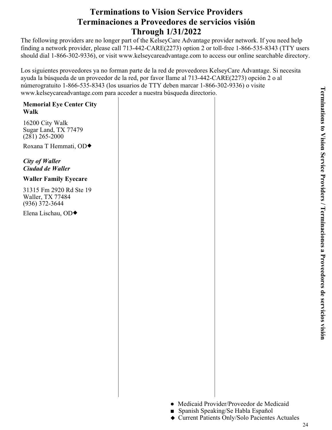## **Terminations to Vision Service Providers Terminaciones a Proveedores de servicios visión Through 1/31/2022**

The following providers are no longer part of the KelseyCare Advantage provider network. If you need help finding a network provider, please call 713-442-CARE(2273) option 2 or toll-free 1-866-535-8343 (TTY users should dial 1-866-302-9336), or visit www.kelseycareadvantage.com to access our online searchable directory.

Los siguientes proveedores ya no forman parte de la red de proveedores KelseyCare Advantage. Si necesita ayuda la búsqueda de un proveedor de la red, por favor llame al 713-442-CARE(2273) opción 2 o al númerogratuito 1-866-535-8343 (los usuarios de TTY deben marcar 1-866-302-9336) o visite www.kelseycareadvantage.com para acceder a nuestra búsqueda directorio.

| <b>Memorial Eye Center City</b><br>Walk                       |
|---------------------------------------------------------------|
| 16200 City Walk<br>Sugar Land, TX 77479<br>$(281)$ 265-2000   |
| Roxana T Hemmati, OD◆                                         |
| <b>City of Waller</b><br>Ciudad de Waller                     |
| <b>Waller Family Eyecare</b>                                  |
| 31315 Fm 2920 Rd Ste 19<br>Waller, TX 77484<br>(936) 372-3644 |
| Elena Lischau, OD◆                                            |
|                                                               |
|                                                               |
|                                                               |
|                                                               |
|                                                               |
|                                                               |
|                                                               |
|                                                               |
|                                                               |
|                                                               |
|                                                               |
|                                                               |
|                                                               |

- Medicaid Provider/Proveedor de Medicaid
- Spanish Speaking/Se Habla Español
- ◆ Current Patients Only/Solo Pacientes Actuales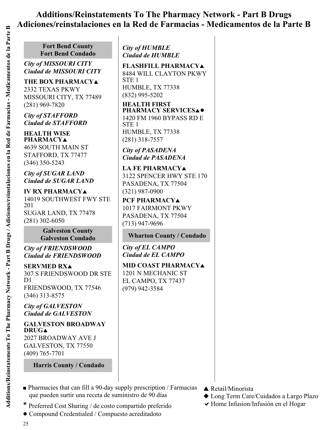## **Additions/Reinstatements To The Pharmacy Network - Part B Drugs Adiciones/reinstalaciones en la Red de Farmacias - Medicamentos de la Parte B**

**Fort Bend County Fort Bend Condado**

*City of MISSOURI CITY Ciudad de MISSOURI CITY*

**THE BOX PHARMACYA** 2332 TEXAS PKWY MISSOURI CITY, TX 77489 (281) 969-7820

*City of STAFFORD Ciudad de STAFFORD*

#### **HEALTH WISE PHARMACY**p 4639 SOUTH MAIN ST

STAFFORD, TX 77477 (346) 350-5243

*City of SUGAR LAND Ciudad de SUGAR LAND*

**IV RX PHARMACY**p 14019 SOUTHWEST FWY STE 201 SUGAR LAND, TX 77478 (281) 302-6050

#### **Galveston County Galveston Condado**

#### *City of FRIENDSWOOD Ciudad de FRIENDSWOOD*

**SERVMED RXA** 307 S FRIENDSWOOD DR STE D1 FRIENDSWOOD, TX 77546 (346) 313-8575

*City of GALVESTON Ciudad de GALVESTON*

#### **GALVESTON BROADWAY DRUGA**

2027 BROADWAY AVE J GALVESTON, TX 77550 (409) 765-7701

<span id="page-25-0"></span>25

 **Harris County / Condado**

*City of HUMBLE Ciudad de HUMBLE*

**FLASHFILL PHARMACY**p 8484 WILL CLAYTON PKWY STE 1 HUMBLE, TX 77338 (832) 995-5202

**HEALTH FIRST PHARMACY SERVICES▲●** 1420 FM 1960 BYPASS RD E STE 1 HUMBLE, TX 77338 (281) 318-7557

*City of PASADENA Ciudad de PASADENA*

LA FE PHARMACYA 3122 SPENCER HWY STE 170 PASADENA, TX 77504 (321) 987-0900

**PCF PHARMACYA** 1017 FAIRMONT PKWY PASADENA, TX 77504 (713) 947-9696

 **Wharton County / Condado**

*City of EL CAMPO Ciudad de EL CAMPO*

**MID COAST PHARMACYA** 1201 N MECHANIC ST EL CAMPO, TX 77437 (979) 942-3584

- Pharmacies that can fill a 90-day supply prescription / Farmacias que pueden surtir una receta de suministro de 90 días
- \* Preferred Cost Sharing / de costo compartido preferido
- Compound Credentialed / Compuesto acreditadoto
- $\triangle$  Retail/Minorista
- $\blacklozenge$  Long Term Care/Cuidados a Largo Plazo
- $\vee$  Home Infusion/Infusión en el Hogar